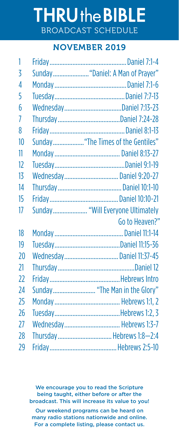## **THRUthe BIBLE** BROADCAST SCHEDULE

## NOVEMBER 2019

| 1              |                                    |
|----------------|------------------------------------|
| 3              |                                    |
| $\overline{4}$ |                                    |
| 5              |                                    |
| 6              |                                    |
| 7              |                                    |
| 8              |                                    |
| 10             | Sunday "The Times of the Gentiles" |
| 11             |                                    |
| 12             |                                    |
| 13             | Wednesday Daniel 9:20-27           |
| 14             |                                    |
| 15             |                                    |
| 17             | Sunday "Will Everyone Ultimately   |
|                | Go to Heaven?"                     |
| 18             |                                    |
| 19             |                                    |
| 20             |                                    |
|                | Wednesday Daniel 11:37-45          |
| 21             |                                    |
| 22             |                                    |
| 24             | Sunday "The Man in the Glory"      |
| 25             |                                    |
| 26             |                                    |
| 27             | Wednesday Hebrews 1:3-7            |
| 28             | Thursday Hebrews 1:8-2:4           |

We encourage you to read the Scripture being taught, either before or after the broadcast. This will increase its value to you! Our weekend programs can be heard on many radio stations nationwide and online. For a complete listing, please contact us.